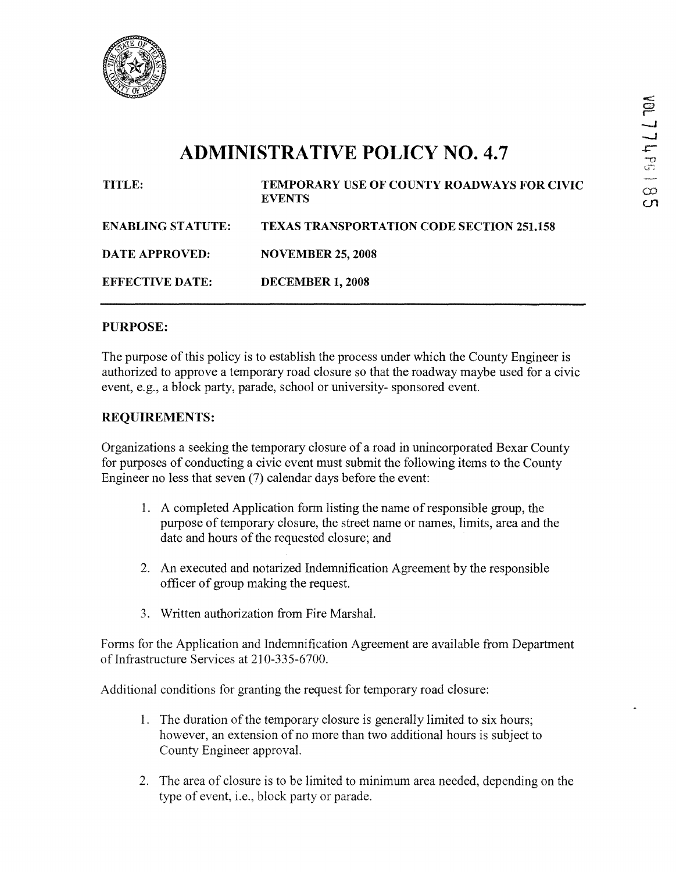

 $C<sub>1</sub>$ 

## **ADMINISTRATIVE POLICY NO. 4.7**

| TITLE:                   | TEMPORARY USE OF COUNTY ROADWAYS FOR CIVIC<br><b>EVENTS</b> |
|--------------------------|-------------------------------------------------------------|
| <b>ENABLING STATUTE:</b> | <b>TEXAS TRANSPORTATION CODE SECTION 251.158</b>            |
| <b>DATE APPROVED:</b>    | <b>NOVEMBER 25, 2008</b>                                    |
| <b>EFFECTIVE DATE:</b>   | <b>DECEMBER 1, 2008</b>                                     |

## **PURPOSE:**

The purpose of this policy is to establish the process under which the County Engineer is authorized to approve a temporary road closure so that the roadway maybe used for a civic event, e.g., a block party, parade, school or university- sponsored event.

## **REQUIREMENTS:**

Organizations a seeking the temporary closure of a road in unincorporated Bexar County for purposes of conducting a civic event must submit the following items to the County Engineer no less that seven (7) calendar days before the event:

- 1. A completed Application form listing the name of responsible group, the purpose of temporary closure, the street name or names, limits, area and the date and hours of the requested closure; and
- 2. An executed and notarized Indemnification Agreement by the responsible officer of group making the request.
- 3. Written authorization from Fire Marshal.

Forms for the Application and Indemnification Agreement are available from Department of Infrastructure Services at 210-335-6700.

Additional conditions for granting the request for temporary road closure:

- 1. The duration of the temporary closure is generally limited to six hours; however, an extension of no more than two additional hours is subject to County Engineer approval.
- 2. The area of closure is to be limited to minimum area needed, depending on the type of event, i.e., block party or parade.